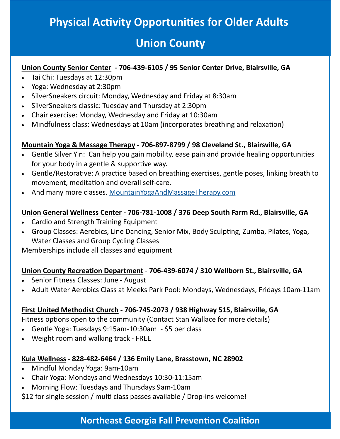## **Physical Activity Opportunities for Older Adults**

## **Union County**

#### **Union County Senior Center - 706-439-6105 / 95 Senior Center Drive, Blairsville, GA**

- Tai Chi: Tuesdays at 12:30pm
- Yoga: Wednesday at 2:30pm
- SilverSneakers circuit: Monday, Wednesday and Friday at 8:30am
- SilverSneakers classic: Tuesday and Thursday at 2:30pm
- Chair exercise: Monday, Wednesday and Friday at 10:30am
- Mindfulness class: Wednesdays at 10am (incorporates breathing and relaxation)

#### **Mountain Yoga & Massage Therapy - 706-897-8799 / 98 Cleveland St., Blairsville, GA**

- Gentle Silver Yin: Can help you gain mobility, ease pain and provide healing opportunities for your body in a gentle & supportive way.
- Gentle/Restorative: A practice based on breathing exercises, gentle poses, linking breath to movement, meditation and overall self-care.
- And many more classes. [MountainYogaAndMassageTherapy.com](mountainyogaandmassagetherapy.com)

#### **Union General Wellness Center - 706-781-1008 / 376 Deep South Farm Rd., Blairsville, GA**

- Cardio and Strength Training Equipment
- Group Classes: Aerobics, Line Dancing, Senior Mix, Body Sculpting, Zumba, Pilates, Yoga, Water Classes and Group Cycling Classes

Memberships include all classes and equipment

#### **Union County Recreation Department** - **706-439-6074 / 310 Wellborn St., Blairsville, GA**

- Senior Fitness Classes: June August
- Adult Water Aerobics Class at Meeks Park Pool: Mondays, Wednesdays, Fridays 10am-11am

#### **First United Methodist Church - 706-745-2073 / 938 Highway 515, Blairsville, GA**

Fitness options open to the community (Contact Stan Wallace for more details)

- Gentle Yoga: Tuesdays 9:15am-10:30am \$5 per class
- Weight room and walking track FREE

#### **Kula Wellness - 828-482-6464 / 136 Emily Lane, Brasstown, NC 28902**

- Mindful Monday Yoga: 9am-10am
- Chair Yoga: Mondays and Wednesdays 10:30-11:15am
- Morning Flow: Tuesdays and Thursdays 9am-10am

\$12 for single session / multi class passes available / Drop-ins welcome!

### **Northeast Georgia Fall Prevention Coalition**